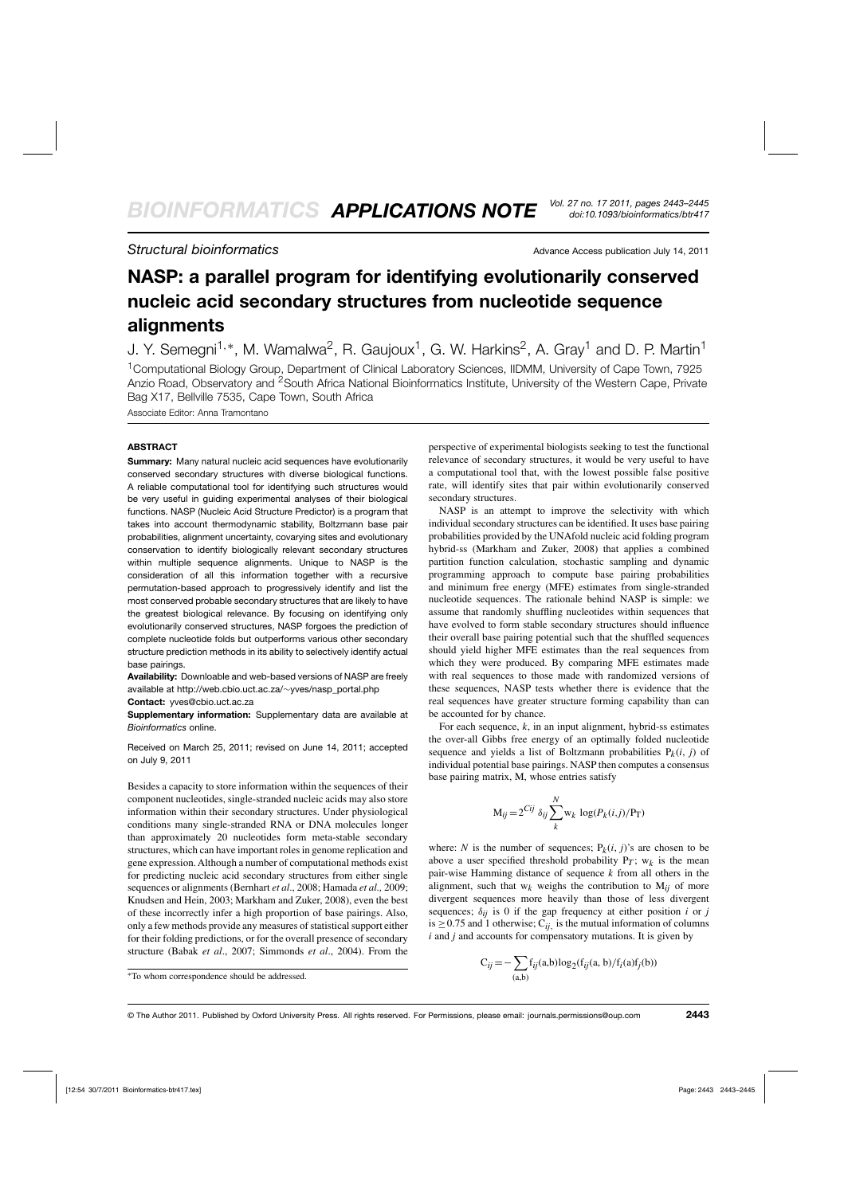# **Structural bioinformatics** Advance Access publication July 14, 2011

# **NASP: a parallel program for identifying evolutionarily conserved nucleic acid secondary structures from nucleotide sequence alignments**

J. Y. Semegni<sup>1,∗</sup>, M. Wamalwa<sup>2</sup>, R. Gaujoux<sup>1</sup>, G. W. Harkins<sup>2</sup>, A. Gray<sup>1</sup> and D. P. Martin<sup>1</sup>

1Computational Biology Group, Department of Clinical Laboratory Sciences, IIDMM, University of Cape Town, 7925 Anzio Road, Observatory and <sup>2</sup>South Africa National Bioinformatics Institute, University of the Western Cape, Private Bag X17, Bellville 7535, Cape Town, South Africa

Associate Editor: Anna Tramontano

## **ABSTRACT**

**Summary:** Many natural nucleic acid sequences have evolutionarily conserved secondary structures with diverse biological functions. A reliable computational tool for identifying such structures would be very useful in guiding experimental analyses of their biological functions. NASP (Nucleic Acid Structure Predictor) is a program that takes into account thermodynamic stability, Boltzmann base pair probabilities, alignment uncertainty, covarying sites and evolutionary conservation to identify biologically relevant secondary structures within multiple sequence alignments. Unique to NASP is the consideration of all this information together with a recursive permutation-based approach to progressively identify and list the most conserved probable secondary structures that are likely to have the greatest biological relevance. By focusing on identifying only evolutionarily conserved structures, NASP forgoes the prediction of complete nucleotide folds but outperforms various other secondary structure prediction methods in its ability to selectively identify actual base pairings.

**Availability:** Downloable and web-based versions of NASP are freely available at http://web.cbio.uct.ac.za/∼yves/nasp\_portal.php

#### **Contact:** yves@cbio.uct.ac.za

**Supplementary information:** Supplementary data are available at *Bioinformatics* online.

Received on March 25, 2011; revised on June 14, 2011; accepted on July 9, 2011

Besides a capacity to store information within the sequences of their component nucleotides, single-stranded nucleic acids may also store information within their secondary structures. Under physiological conditions many single-stranded RNA or DNA molecules longer than approximately 20 nucleotides form meta-stable secondary structures, which can have important roles in genome replication and gene expression. Although a number of computational methods exist for predicting nucleic acid secondary structures from either single sequences or alignments (Bernhart *et al*., 2008; Hamada *et al.,* 2009; Knudsen and Hein, 2003; Markham and Zuker, 2008), even the best of these incorrectly infer a high proportion of base pairings. Also, only a few methods provide any measures of statistical support either for their folding predictions, or for the overall presence of secondary structure (Babak *et al*., 2007; Simmonds *et al*., 2004). From the

perspective of experimental biologists seeking to test the functional relevance of secondary structures, it would be very useful to have a computational tool that, with the lowest possible false positive rate, will identify sites that pair within evolutionarily conserved secondary structures.

NASP is an attempt to improve the selectivity with which individual secondary structures can be identified. It uses base pairing probabilities provided by the UNAfold nucleic acid folding program hybrid-ss (Markham and Zuker, 2008) that applies a combined partition function calculation, stochastic sampling and dynamic programming approach to compute base pairing probabilities and minimum free energy (MFE) estimates from single-stranded nucleotide sequences. The rationale behind NASP is simple: we assume that randomly shuffling nucleotides within sequences that have evolved to form stable secondary structures should influence their overall base pairing potential such that the shuffled sequences should yield higher MFE estimates than the real sequences from which they were produced. By comparing MFE estimates made with real sequences to those made with randomized versions of these sequences, NASP tests whether there is evidence that the real sequences have greater structure forming capability than can be accounted for by chance.

For each sequence,  $k$ , in an input alignment, hybrid-ss estimates the over-all Gibbs free energy of an optimally folded nucleotide sequence and yields a list of Boltzmann probabilities  $P_k(i, j)$  of individual potential base pairings. NASP then computes a consensus base pairing matrix, M, whose entries satisfy

$$
M_{ij} = 2^{Cij} \delta_{ij} \sum_{k}^{N} w_k \log(P_k(i,j)/P_T)
$$

where: *N* is the number of sequences;  $P_k(i, j)$ 's are chosen to be above a user specified threshold probability  $P_T$ ;  $w_k$  is the mean pair-wise Hamming distance of sequence *k* from all others in the alignment, such that  $w_k$  weighs the contribution to  $M_{ij}$  of more divergent sequences more heavily than those of less divergent sequences;  $\delta_{ij}$  is 0 if the gap frequency at either position *i* or *j* is  $\geq$  0.75 and 1 otherwise; C<sub>ij</sub>, is the mutual information of columns *i* and *j* and accounts for compensatory mutations. It is given by

$$
C_{ij} = -\sum_{(a,b)} f_{ij}(a,b) \log_2(f_{ij}(a, b)/f_i(a)f_j(b))
$$

<sup>∗</sup>To whom correspondence should be addressed.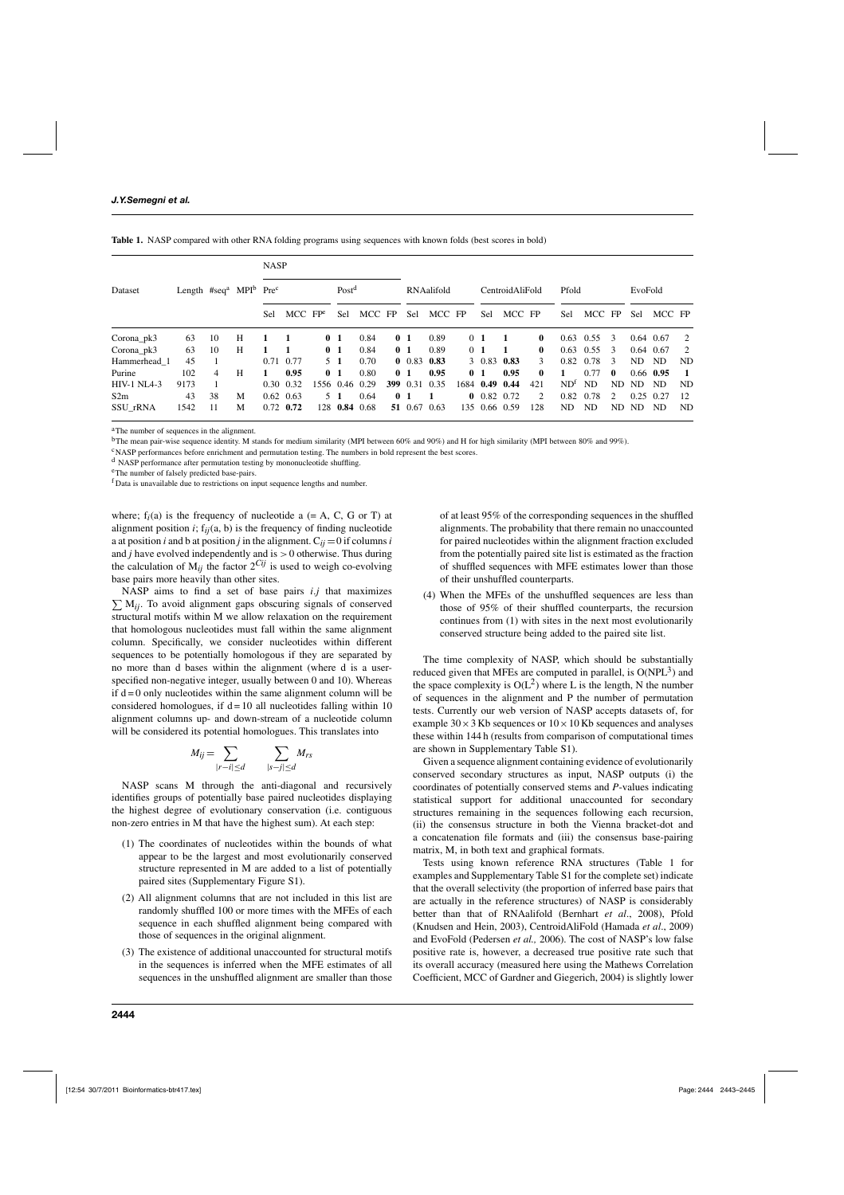| Dataset               |      | Length #seq <sup>a</sup> MPI <sup>b</sup> Pre <sup>c</sup> |   | <b>NASP</b> |                   |                |                   |        |     |                |        |  |                 |        |                |                 |        |                |             |             |     |
|-----------------------|------|------------------------------------------------------------|---|-------------|-------------------|----------------|-------------------|--------|-----|----------------|--------|--|-----------------|--------|----------------|-----------------|--------|----------------|-------------|-------------|-----|
|                       |      |                                                            |   |             |                   |                | Post <sup>d</sup> |        |     | RNAalifold     |        |  | CentroidAliFold |        |                | Pfold           |        |                | EvoFold     |             |     |
|                       |      |                                                            |   | Sel         | $MCC$ $FPe$       |                | Sel               | MCC FP |     | Sel            | MCC FP |  | Sel             | MCC FP |                | Sel             | MCC FP |                | Sel         | MCC FP      |     |
| Corona <sub>pk3</sub> | 63   | 10                                                         | H |             |                   | 0 <sub>1</sub> |                   | 0.84   |     | 0 <sub>1</sub> | 0.89   |  | 0 <sub>1</sub>  | -1     | 0              | 0.63            | 0.55   | 3              |             | $0.64$ 0.67 | 2   |
| Corona <sub>pk3</sub> | 63   | 10                                                         | H |             |                   | 0 <sub>1</sub> |                   | 0.84   |     | 0 <sub>1</sub> | 0.89   |  | 0 <sub>1</sub>  |        | $\mathbf{0}$   | 0.63            | 0.55   | 3              | $0.64$ 0.67 |             | 2   |
| Hammerhead 1          | 45   |                                                            |   | 0.71        | 0.77              |                | 5 <sub>1</sub>    | 0.70   |     | 0.83           | 0.83   |  | 3 0.83          | 0.83   | $\mathcal{F}$  | 0.82            | 0.78   | $\mathcal{R}$  | ND.         | <b>ND</b>   | ND  |
| Purine                | 102  | 4                                                          | H | 1           | 0.95              | 0 <sub>1</sub> |                   | 0.80   |     | 0 <sub>1</sub> | 0.95   |  | 0 <sub>1</sub>  | 0.95   | $\mathbf{0}$   | 1               | 0.77   | $\mathbf{0}$   |             | 0.66 0.95   |     |
| <b>HIV-1 NL4-3</b>    | 9173 |                                                            |   | 0.30        | 0.32              |                | 1556 0.46 0.29    |        | 399 | 0.31           | 0.35   |  | 1684 0.49 0.44  |        | 421            | ND <sup>t</sup> | ND.    | ND.            | ND.         | ND          | ND. |
| S2m                   | 43   | 38                                                         | M |             | $0.62 \quad 0.63$ |                | $5\quad1$         | 0.64   |     | 0 <sub>1</sub> |        |  | $0$ 0.82 0.72   |        | $\mathfrak{D}$ | 0.82            | 0.78   | $\mathfrak{D}$ | $0.25$ 0.27 |             | 12  |
| SSU rRNA              | 1542 | 11                                                         | M |             | $0.72$ 0.72       |                | 128 0.84          | 0.68   |     | 51 0.67        | 0.63   |  | 135 0.66 0.59   |        | 128            | ND.             | ND     | ND.            | ND.         | ND          | ND. |

<sup>a</sup>The number of sequences in the alignment.

<sup>b</sup>The mean pair-wise sequence identity. M stands for medium similarity (MPI between 60% and 90%) and H for high similarity (MPI between 80% and 99%).

<sup>c</sup>NASP performances before enrichment and permutation testing. The numbers in bold represent the best scores.

<sup>d</sup> NASP performance after permutation testing by mononucleotide shuffling.

eThe number of falsely predicted base-pairs.

<sup>f</sup> Data is unavailable due to restrictions on input sequence lengths and number.

where;  $f_i(a)$  is the frequency of nucleotide  $a (= A, C, G \text{ or } T)$  at alignment position  $i$ ;  $f_{ii}(a, b)$  is the frequency of finding nucleotide a at position *i* and b at position *j* in the alignment.  $C_{ij} = 0$  if columns *i* and *j* have evolved independently and is >0 otherwise. Thus during the calculation of  $M_{ij}$  the factor  $2^{Cij}$  is used to weigh co-evolving base pairs more heavily than other sites.

 $\sum M_{ij}$ . To avoid alignment gaps obscuring signals of conserved NASP aims to find a set of base pairs *i*.*j* that maximizes structural motifs within M we allow relaxation on the requirement that homologous nucleotides must fall within the same alignment column. Specifically, we consider nucleotides within different sequences to be potentially homologous if they are separated by no more than d bases within the alignment (where d is a userspecified non-negative integer, usually between 0 and 10). Whereas if  $d = 0$  only nucleotides within the same alignment column will be considered homologues, if  $d = 10$  all nucleotides falling within 10 alignment columns up- and down-stream of a nucleotide column will be considered its potential homologues. This translates into

$$
M_{ij} = \sum_{|r-i| \le d} \sum_{|s-j| \le d} M_{rs}
$$

NASP scans M through the anti-diagonal and recursively identifies groups of potentially base paired nucleotides displaying the highest degree of evolutionary conservation (i.e. contiguous non-zero entries in M that have the highest sum). At each step:

- (1) The coordinates of nucleotides within the bounds of what appear to be the largest and most evolutionarily conserved structure represented in M are added to a list of potentially paired sites (Supplementary Figure S1).
- (2) All alignment columns that are not included in this list are randomly shuffled 100 or more times with the MFEs of each sequence in each shuffled alignment being compared with those of sequences in the original alignment.
- (3) The existence of additional unaccounted for structural motifs in the sequences is inferred when the MFE estimates of all sequences in the unshuffled alignment are smaller than those

of at least 95% of the corresponding sequences in the shuffled alignments. The probability that there remain no unaccounted for paired nucleotides within the alignment fraction excluded from the potentially paired site list is estimated as the fraction of shuffled sequences with MFE estimates lower than those of their unshuffled counterparts.

(4) When the MFEs of the unshuffled sequences are less than those of 95% of their shuffled counterparts, the recursion continues from (1) with sites in the next most evolutionarily conserved structure being added to the paired site list.

The time complexity of NASP, which should be substantially reduced given that MFEs are computed in parallel, is  $O(NPL<sup>3</sup>)$  and the space complexity is  $O(L^2)$  where L is the length, N the number of sequences in the alignment and P the number of permutation tests. Currently our web version of NASP accepts datasets of, for example  $30 \times 3$  Kb sequences or  $10 \times 10$  Kb sequences and analyses these within 144 h (results from comparison of computational times are shown in Supplementary Table S1).

Given a sequence alignment containing evidence of evolutionarily conserved secondary structures as input, NASP outputs (i) the coordinates of potentially conserved stems and *P*-values indicating statistical support for additional unaccounted for secondary structures remaining in the sequences following each recursion, (ii) the consensus structure in both the Vienna bracket-dot and a concatenation file formats and (iii) the consensus base-pairing matrix, M, in both text and graphical formats.

Tests using known reference RNA structures (Table 1 for examples and Supplementary Table S1 for the complete set) indicate that the overall selectivity (the proportion of inferred base pairs that are actually in the reference structures) of NASP is considerably better than that of RNAalifold (Bernhart *et al*., 2008), Pfold (Knudsen and Hein, 2003), CentroidAliFold (Hamada *et al*., 2009) and EvoFold (Pedersen *et al.,* 2006). The cost of NASP's low false positive rate is, however, a decreased true positive rate such that its overall accuracy (measured here using the Mathews Correlation Coefficient, MCC of Gardner and Giegerich, 2004) is slightly lower